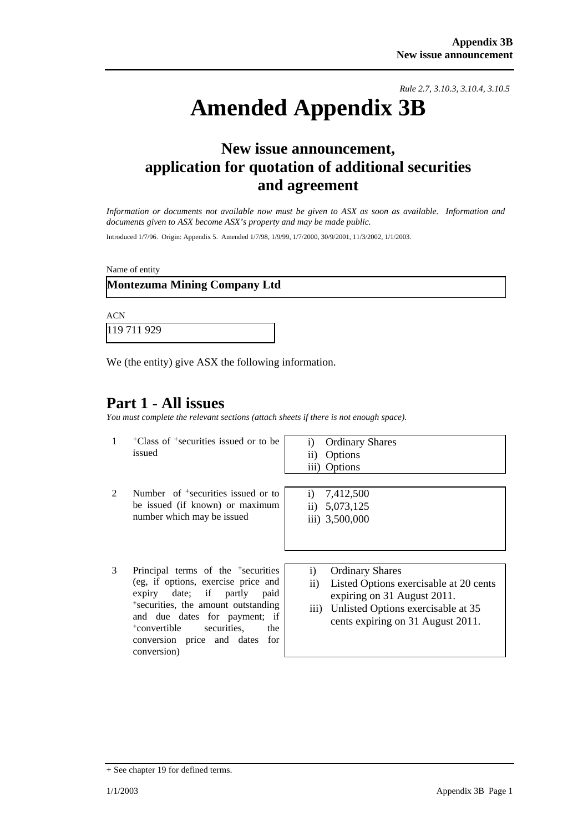*Rule 2.7, 3.10.3, 3.10.4, 3.10.5*

# **Amended Appendix 3B**

### **New issue announcement, application for quotation of additional securities and agreement**

*Information or documents not available now must be given to ASX as soon as available. Information and documents given to ASX become ASX's property and may be made public.* 

Introduced 1/7/96. Origin: Appendix 5. Amended 1/7/98, 1/9/99, 1/7/2000, 30/9/2001, 11/3/2002, 1/1/2003.

Name of entity

#### **Montezuma Mining Company Ltd**

ACN 119 711 929

We (the entity) give ASX the following information.

### **Part 1 - All issues**

*You must complete the relevant sections (attach sheets if there is not enough space).*

| 1 | <sup>+</sup> Class of <sup>+</sup> securities issued or to be<br>issued                                                                                                                                                                                                                         | <b>Ordinary Shares</b><br>$\bf{1)}$<br>Options<br>$\overline{11}$<br>iii) Options                                                                                                                  |
|---|-------------------------------------------------------------------------------------------------------------------------------------------------------------------------------------------------------------------------------------------------------------------------------------------------|----------------------------------------------------------------------------------------------------------------------------------------------------------------------------------------------------|
|   | Number of $\pm$ securities issued or to<br>be issued (if known) or maximum<br>number which may be issued                                                                                                                                                                                        | i) $7,412,500$<br>ii) $5,073,125$<br>iii) 3,500,000                                                                                                                                                |
| 3 | Principal terms of the <sup>+</sup> securities<br>(eg, if options, exercise price and<br>expiry date; if partly paid<br>*securities, the amount outstanding<br>and due dates for payment; if<br><sup>+</sup> convertible<br>securities.<br>the<br>conversion price and dates for<br>conversion) | <b>Ordinary Shares</b><br>i)<br>Listed Options exercisable at 20 cents<br>$\rm ii)$<br>expiring on 31 August 2011.<br>iii) Unlisted Options exercisable at 35<br>cents expiring on 31 August 2011. |

<sup>+</sup> See chapter 19 for defined terms.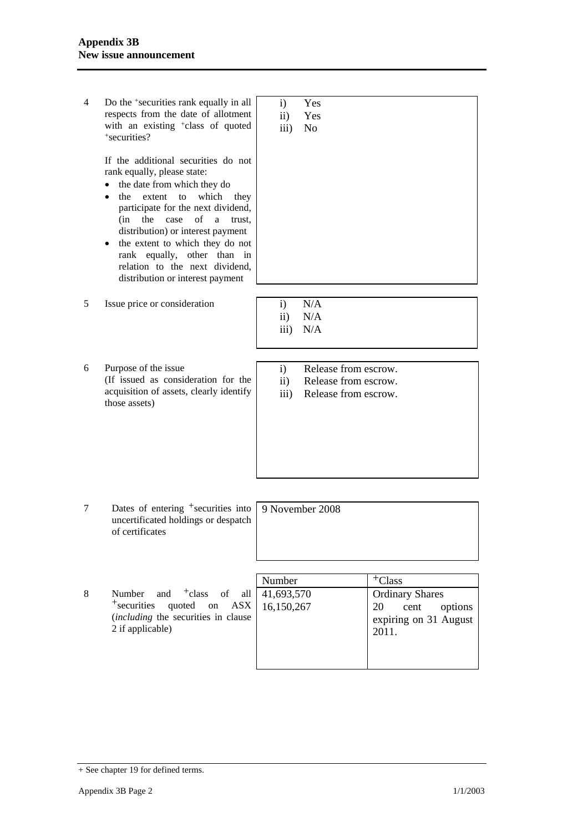| 4 | Do the <sup>+</sup> securities rank equally in all<br>respects from the date of allotment<br>with an existing <sup>+</sup> class of quoted<br>+securities?                                                                                                                                                                                                                                              | $\mathbf{i}$<br>$\ddot{\text{1}}$<br>$\overline{\text{iii}}$ | Yes<br>Yes<br>N <sub>o</sub>                                         |                                                                                                |
|---|---------------------------------------------------------------------------------------------------------------------------------------------------------------------------------------------------------------------------------------------------------------------------------------------------------------------------------------------------------------------------------------------------------|--------------------------------------------------------------|----------------------------------------------------------------------|------------------------------------------------------------------------------------------------|
|   | If the additional securities do not<br>rank equally, please state:<br>the date from which they do<br>extent<br>which<br>the<br>to<br>they<br>participate for the next dividend,<br>of<br>the<br>case<br>(in<br>a<br>trust,<br>distribution) or interest payment<br>the extent to which they do not<br>rank equally, other than in<br>relation to the next dividend,<br>distribution or interest payment |                                                              |                                                                      |                                                                                                |
| 5 | Issue price or consideration                                                                                                                                                                                                                                                                                                                                                                            | $\mathbf{i}$<br>$\mathbf{ii}$<br>$\overline{iii}$            | N/A<br>N/A<br>N/A                                                    |                                                                                                |
| 6 | Purpose of the issue<br>(If issued as consideration for the<br>acquisition of assets, clearly identify<br>those assets)                                                                                                                                                                                                                                                                                 | $\mathbf{i}$<br>$\mathbf{ii}$<br>iii)                        | Release from escrow.<br>Release from escrow.<br>Release from escrow. |                                                                                                |
| 7 | Dates of entering <sup>+</sup> securities into<br>uncertificated holdings or despatch<br>of certificates                                                                                                                                                                                                                                                                                                | 9 November 2008                                              |                                                                      |                                                                                                |
|   |                                                                                                                                                                                                                                                                                                                                                                                                         |                                                              |                                                                      |                                                                                                |
| 8 | $+$ class<br>Number<br>and<br>of<br>all<br>$+$ securities<br>quoted<br>ASX<br>on<br>(including the securities in clause<br>2 if applicable)                                                                                                                                                                                                                                                             | Number<br>41,693,570<br>16,150,267                           |                                                                      | $+C$ lass<br><b>Ordinary Shares</b><br>20<br>cent<br>options<br>expiring on 31 August<br>2011. |

<sup>+</sup> See chapter 19 for defined terms.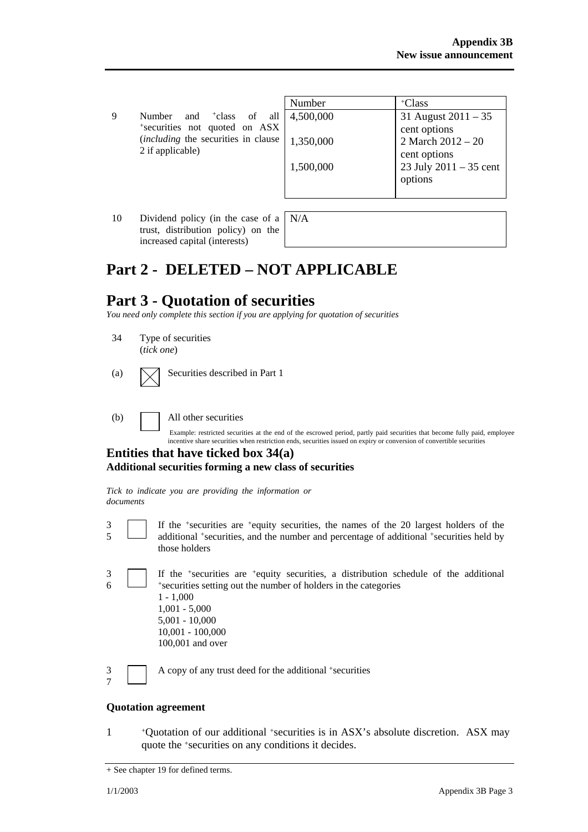9 Number and +class of all +securities not quoted on ASX (*including* the securities in clause 2 if applicable)

| Number    | $+C$ lass                |
|-----------|--------------------------|
| 4,500,000 | 31 August $2011 - 35$    |
|           | cent options             |
| 1,350,000 | 2 March $2012 - 20$      |
|           | cent options             |
| 1,500,000 | 23 July $2011 - 35$ cent |
|           | options                  |
|           |                          |

10 Dividend policy (in the case of a trust, distribution policy) on the increased capital (interests)

N/A

## **Part 2 - DELETED – NOT APPLICABLE**

### **Part 3 - Quotation of securities**

*You need only complete this section if you are applying for quotation of securities* 

- 34 Type of securities (*tick one*)
- (a)  $\bigvee$  Securities described in Part 1

(b) All other securities

Example: restricted securities at the end of the escrowed period, partly paid securities that become fully paid, employee incentive share securities when restriction ends, securities issued on expiry or conversion of convertible securities

#### **Entities that have ticked box 34(a) Additional securities forming a new class of securities**

*Tick to indicate you are providing the information or documents*

- 3 5 If the +securities are +equity securities, the names of the 20 largest holders of the additional +securities, and the number and percentage of additional +securities held by those holders
- 3 6 If the +securities are +equity securities, a distribution schedule of the additional +securities setting out the number of holders in the categories 1 - 1,000 1,001 - 5,000 5,001 - 10,000 10,001 - 100,000 100,001 and over
- 3 7

A copy of any trust deed for the additional +securities

#### **Quotation agreement**

1 +Quotation of our additional +securities is in ASX's absolute discretion. ASX may quote the +securities on any conditions it decides.

<sup>+</sup> See chapter 19 for defined terms.